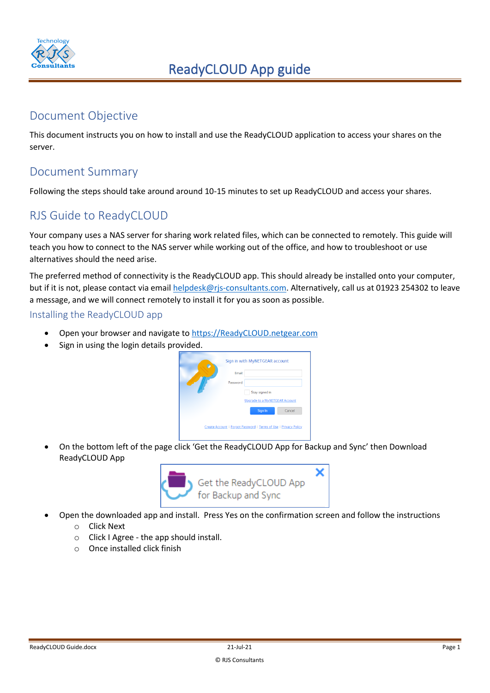

### Document Objective

This document instructs you on how to install and use the ReadyCLOUD application to access your shares on the server.

### Document Summary

Following the steps should take around around 10-15 minutes to set up ReadyCLOUD and access your shares.

## RJS Guide to ReadyCLOUD

Your company uses a NAS server for sharing work related files, which can be connected to remotely. This guide will teach you how to connect to the NAS server while working out of the office, and how to troubleshoot or use alternatives should the need arise.

The preferred method of connectivity is the ReadyCLOUD app. This should already be installed onto your computer, but if it is not, please contact via email helpdesk@rjs-consultants.com. Alternatively, call us at 01923 254302 to leave a message, and we will connect remotely to install it for you as soon as possible.

Installing the ReadyCLOUD app

- Open your browser and navigate to [https://ReadyCLOUD.netgear.com](https://readycloud.netgear.com/)
- Sign in using the login details provided.

| G |               | Sign in with MyNETGEAR account                                   |        |
|---|---------------|------------------------------------------------------------------|--------|
|   | <b>Fmail:</b> |                                                                  |        |
|   | Password:     |                                                                  |        |
|   |               | Stay signed in                                                   |        |
|   |               | Upgrade to a MyNETGEAR Account                                   |        |
|   |               | Sign In                                                          | Cancel |
|   |               |                                                                  |        |
|   |               | Create Account   Forgot Password   Terms of Use   Privacy Policy |        |

• On the bottom left of the page click 'Get the ReadyCLOUD App for Backup and Sync' then Download ReadyCLOUD App



- Open the downloaded app and install. Press Yes on the confirmation screen and follow the instructions
	- o Click Next
	- o Click I Agree the app should install.
	- o Once installed click finish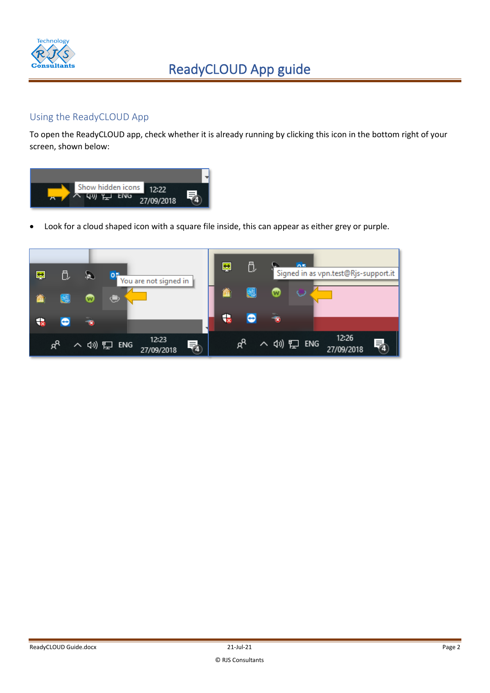

#### Using the ReadyCLOUD App

To open the ReadyCLOUD app, check whether it is already running by clicking this icon in the bottom right of your screen, shown below:



• Look for a cloud shaped icon with a square file inside, this can appear as either grey or purple.

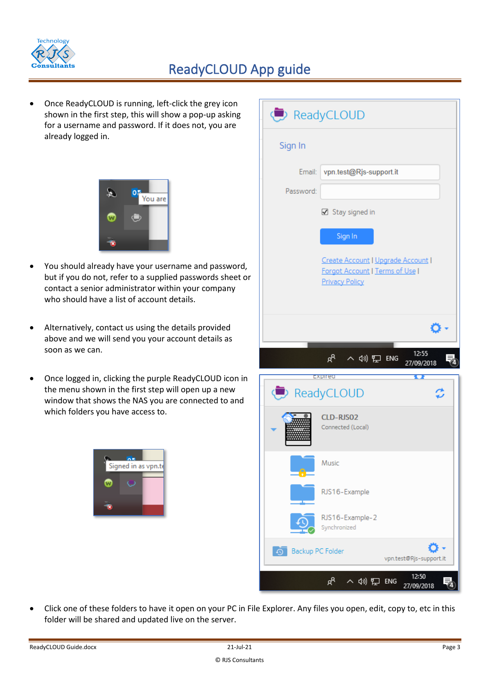

# ReadyCLOUD App guide

• Once ReadyCLOUD is running, left-click the grey icon shown in the first step, this will show a pop-up asking for a username and password. If it does not, you are already logged in.



- You should already have your username and password, but if you do not, refer to a supplied passwords sheet or contact a senior administrator within your company who should have a list of account details.
- Alternatively, contact us using the details provided above and we will send you your account details as soon as we can.
- Once logged in, clicking the purple ReadyCLOUD icon in the menu shown in the first step will open up a new window that shows the NAS you are connected to and which folders you have access to.



|           | ReadyCLOUD                                                                                     |                         |
|-----------|------------------------------------------------------------------------------------------------|-------------------------|
| Sign In   |                                                                                                |                         |
| Email:    | vpn.test@Rjs-support.it                                                                        |                         |
| Password: |                                                                                                |                         |
|           | ☑ Stay signed in                                                                               |                         |
|           | Sign In                                                                                        |                         |
|           | Create Account   Upgrade Account  <br>Forgot Account   Terms of Use  <br><b>Privacy Policy</b> |                         |
|           |                                                                                                |                         |
|           | αq ∧ ψη ΕΝG                                                                                    | 12:55<br>27/09/2018     |
|           | <b>Expired</b>                                                                                 | Q                       |
|           | ReadyCLOUD                                                                                     |                         |
|           | CLD-RJS02<br>Connected (Local)                                                                 |                         |
|           | Music                                                                                          |                         |
|           | RJS16-Example                                                                                  |                         |
|           | RJS16-Example-2<br>Synchronized                                                                |                         |
| $\circ$   | Backup PC Folder                                                                               | vpn.test@Rjs-support.it |
|           | $R^{\mathsf{R}}$<br>(1) 钽 ENG                                                                  | 12:50<br>27/09/2018     |

• Click one of these folders to have it open on your PC in File Explorer. Any files you open, edit, copy to, etc in this folder will be shared and updated live on the server.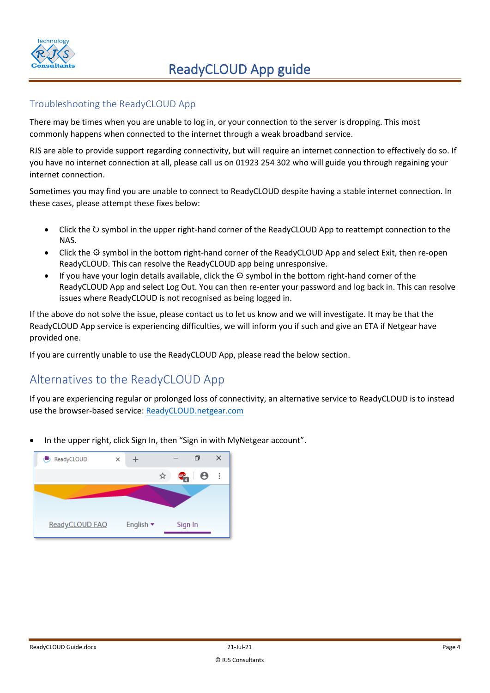

#### Troubleshooting the ReadyCLOUD App

There may be times when you are unable to log in, or your connection to the server is dropping. This most commonly happens when connected to the internet through a weak broadband service.

RJS are able to provide support regarding connectivity, but will require an internet connection to effectively do so. If you have no internet connection at all, please call us on 01923 254 302 who will guide you through regaining your internet connection.

Sometimes you may find you are unable to connect to ReadyCLOUD despite having a stable internet connection. In these cases, please attempt these fixes below:

- Click the  $\cup$  symbol in the upper right-hand corner of the ReadyCLOUD App to reattempt connection to the NAS.
- Click the  $\Phi$  [symbol in the bottom right-hand corner of the ReadyCLOUD](http://graphemica.com/%E2%9A%99) App and select Exit, then re-open [ReadyCLOUD. This can resolve the ReadyCLOUD](http://graphemica.com/%E2%9A%99) app being unresponsive.
- [If you have your login details available, click the](http://graphemica.com/%E2%9A%99)  $\Theta$  symbol in the bottom right-hand corner of the ReadyCLOUD [App and select Log Out. You can then re-enter your password and log back in. This can resolve](http://graphemica.com/%E2%9A%99)  [issues where ReadyCLOUD](http://graphemica.com/%E2%9A%99) is not recognised as being logged in.

If the above do not solve the issue, please contact us to let us know and we will investigate. It may be that the ReadyCLOUD App service is experiencing difficulties, we will inform you if such and give an ETA if Netgear have provided one.

If you are currently unable to use the ReadyCLOUD App, please read the below section.

## Alternatives to the ReadyCLOUD App

If you are experiencing regular or prolonged loss of connectivity, an alternative service to ReadyCLOUD is to instead use the browser-based service: ReadyCLOUD.netgear.com

• In the upper right, click Sign In, then "Sign in with MyNetgear account".